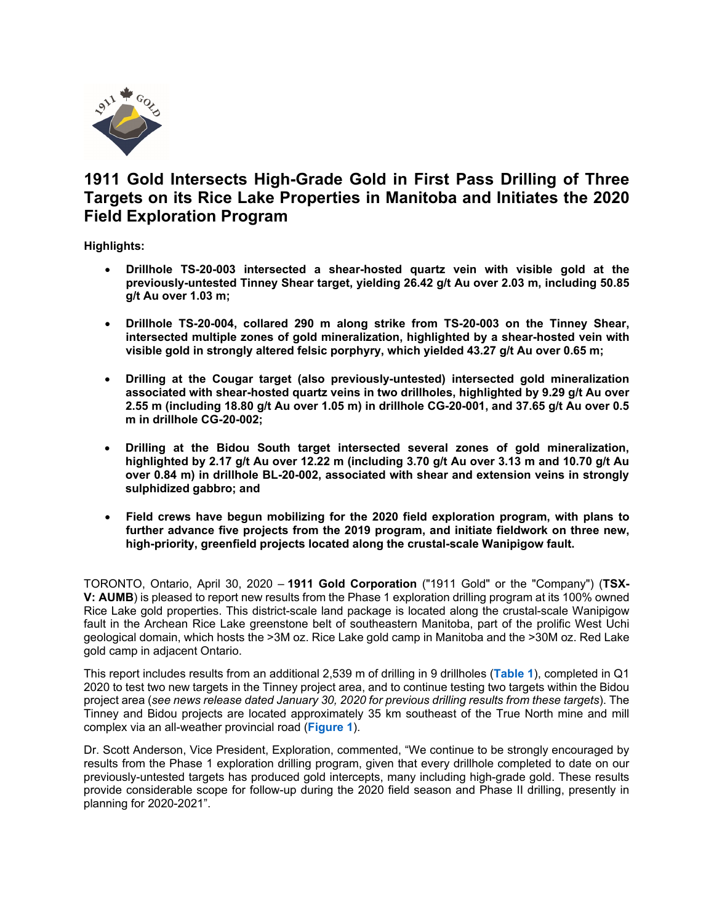

# **1911 Gold Intersects High-Grade Gold in First Pass Drilling of Three Targets on its Rice Lake Properties in Manitoba and Initiates the 2020 Field Exploration Program**

**Highlights:**

- **Drillhole TS-20-003 intersected a shear-hosted quartz vein with visible gold at the previously-untested Tinney Shear target, yielding 26.42 g/t Au over 2.03 m, including 50.85 g/t Au over 1.03 m;**
- **Drillhole TS-20-004, collared 290 m along strike from TS-20-003 on the Tinney Shear, intersected multiple zones of gold mineralization, highlighted by a shear-hosted vein with visible gold in strongly altered felsic porphyry, which yielded 43.27 g/t Au over 0.65 m;**
- **Drilling at the Cougar target (also previously-untested) intersected gold mineralization associated with shear-hosted quartz veins in two drillholes, highlighted by 9.29 g/t Au over 2.55 m (including 18.80 g/t Au over 1.05 m) in drillhole CG-20-001, and 37.65 g/t Au over 0.5 m in drillhole CG-20-002;**
- **Drilling at the Bidou South target intersected several zones of gold mineralization, highlighted by 2.17 g/t Au over 12.22 m (including 3.70 g/t Au over 3.13 m and 10.70 g/t Au over 0.84 m) in drillhole BL-20-002, associated with shear and extension veins in strongly sulphidized gabbro; and**
- **Field crews have begun mobilizing for the 2020 field exploration program, with plans to further advance five projects from the 2019 program, and initiate fieldwork on three new, high-priority, greenfield projects located along the crustal-scale Wanipigow fault.**

TORONTO, Ontario, April 30, 2020 – **1911 Gold Corporation** ("1911 Gold" or the "Company") (**TSX-V: AUMB**) is pleased to report new results from the Phase 1 exploration drilling program at its 100% owned Rice Lake gold properties. This district-scale land package is located along the crustal-scale Wanipigow fault in the Archean Rice Lake greenstone belt of southeastern Manitoba, part of the prolific West Uchi geological domain, which hosts the >3M oz. Rice Lake gold camp in Manitoba and the >30M oz. Red Lake gold camp in adjacent Ontario.

This report includes results from an additional 2,539 m of drilling in 9 drillholes (**[Table 1](https://www.1911gold.com/files/doc_downloads/2020/AUMB_NR_Apr-2020_Table.pdf)**), completed in Q1 2020 to test two new targets in the Tinney project area, and to continue testing two targets within the Bidou project area (*see news release dated January 30, 2020 for previous drilling results from these targets*). The Tinney and Bidou projects are located approximately 35 km southeast of the True North mine and mill complex via an all-weather provincial road (**[Figure 1](https://www.1911gold.com/files/doc_downloads/2020/AUMB_PR_Apr-2020_Figure-1.pdf)**).

Dr. Scott Anderson, Vice President, Exploration, commented, "We continue to be strongly encouraged by results from the Phase 1 exploration drilling program, given that every drillhole completed to date on our previously-untested targets has produced gold intercepts, many including high-grade gold. These results provide considerable scope for follow-up during the 2020 field season and Phase II drilling, presently in planning for 2020-2021".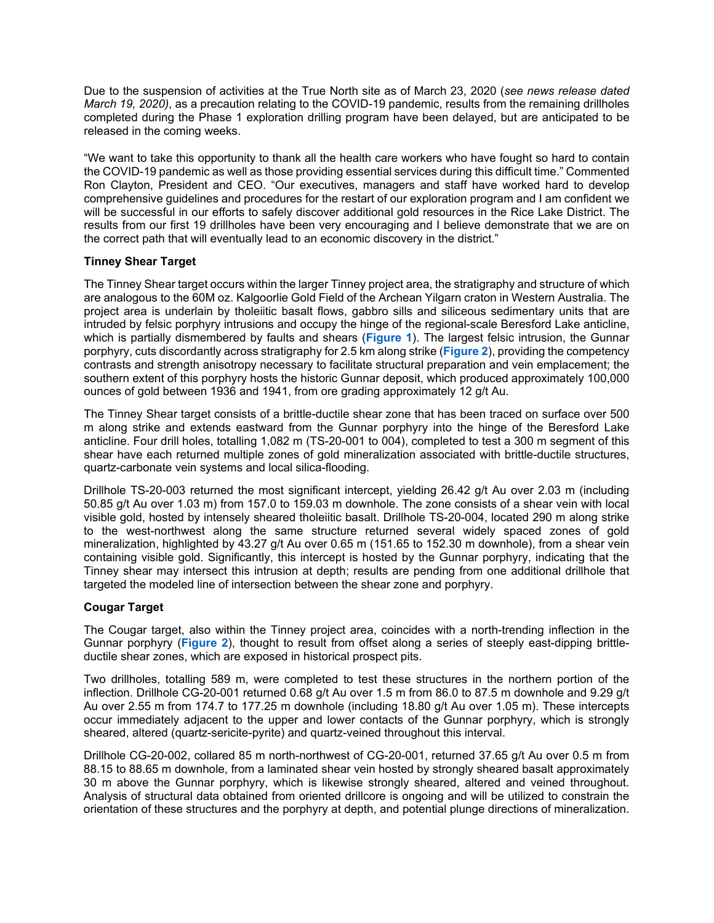Due to the suspension of activities at the True North site as of March 23, 2020 (*see news release dated March 19, 2020)*, as a precaution relating to the COVID-19 pandemic, results from the remaining drillholes completed during the Phase 1 exploration drilling program have been delayed, but are anticipated to be released in the coming weeks.

"We want to take this opportunity to thank all the health care workers who have fought so hard to contain the COVID-19 pandemic as well as those providing essential services during this difficult time." Commented Ron Clayton, President and CEO. "Our executives, managers and staff have worked hard to develop comprehensive guidelines and procedures for the restart of our exploration program and I am confident we will be successful in our efforts to safely discover additional gold resources in the Rice Lake District. The results from our first 19 drillholes have been very encouraging and I believe demonstrate that we are on the correct path that will eventually lead to an economic discovery in the district."

## **Tinney Shear Target**

The Tinney Shear target occurs within the larger Tinney project area, the stratigraphy and structure of which are analogous to the 60M oz. Kalgoorlie Gold Field of the Archean Yilgarn craton in Western Australia. The project area is underlain by tholeiitic basalt flows, gabbro sills and siliceous sedimentary units that are intruded by felsic porphyry intrusions and occupy the hinge of the regional-scale Beresford Lake anticline, which is partially dismembered by faults and shears (**[Figure 1](https://www.1911gold.com/files/doc_downloads/2020/AUMB_PR_Apr-2020_Figure-1.pdf)**). The largest felsic intrusion, the Gunnar porphyry, cuts discordantly across stratigraphy for 2.5 km along strike (**[Figure 2](https://www.1911gold.com/files/doc_downloads/2020/AUMB_PR_Apr-2020_Figure-2.pdf)**), providing the competency contrasts and strength anisotropy necessary to facilitate structural preparation and vein emplacement; the southern extent of this porphyry hosts the historic Gunnar deposit, which produced approximately 100,000 ounces of gold between 1936 and 1941, from ore grading approximately 12 g/t Au.

The Tinney Shear target consists of a brittle-ductile shear zone that has been traced on surface over 500 m along strike and extends eastward from the Gunnar porphyry into the hinge of the Beresford Lake anticline. Four drill holes, totalling 1,082 m (TS-20-001 to 004), completed to test a 300 m segment of this shear have each returned multiple zones of gold mineralization associated with brittle-ductile structures, quartz-carbonate vein systems and local silica-flooding.

Drillhole TS-20-003 returned the most significant intercept, yielding 26.42 g/t Au over 2.03 m (including 50.85 g/t Au over 1.03 m) from 157.0 to 159.03 m downhole. The zone consists of a shear vein with local visible gold, hosted by intensely sheared tholeiitic basalt. Drillhole TS-20-004, located 290 m along strike to the west-northwest along the same structure returned several widely spaced zones of gold mineralization, highlighted by 43.27 g/t Au over 0.65 m (151.65 to 152.30 m downhole), from a shear vein containing visible gold. Significantly, this intercept is hosted by the Gunnar porphyry, indicating that the Tinney shear may intersect this intrusion at depth; results are pending from one additional drillhole that targeted the modeled line of intersection between the shear zone and porphyry.

# **Cougar Target**

The Cougar target, also within the Tinney project area, coincides with a north-trending inflection in the Gunnar porphyry (**[Figure 2](https://www.1911gold.com/files/doc_downloads/2020/AUMB_PR_Apr-2020_Figure-2.pdf)**), thought to result from offset along a series of steeply east-dipping brittleductile shear zones, which are exposed in historical prospect pits.

Two drillholes, totalling 589 m, were completed to test these structures in the northern portion of the inflection. Drillhole CG-20-001 returned 0.68 g/t Au over 1.5 m from 86.0 to 87.5 m downhole and 9.29 g/t Au over 2.55 m from 174.7 to 177.25 m downhole (including 18.80 g/t Au over 1.05 m). These intercepts occur immediately adjacent to the upper and lower contacts of the Gunnar porphyry, which is strongly sheared, altered (quartz-sericite-pyrite) and quartz-veined throughout this interval.

Drillhole CG-20-002, collared 85 m north-northwest of CG-20-001, returned 37.65 g/t Au over 0.5 m from 88.15 to 88.65 m downhole, from a laminated shear vein hosted by strongly sheared basalt approximately 30 m above the Gunnar porphyry, which is likewise strongly sheared, altered and veined throughout. Analysis of structural data obtained from oriented drillcore is ongoing and will be utilized to constrain the orientation of these structures and the porphyry at depth, and potential plunge directions of mineralization.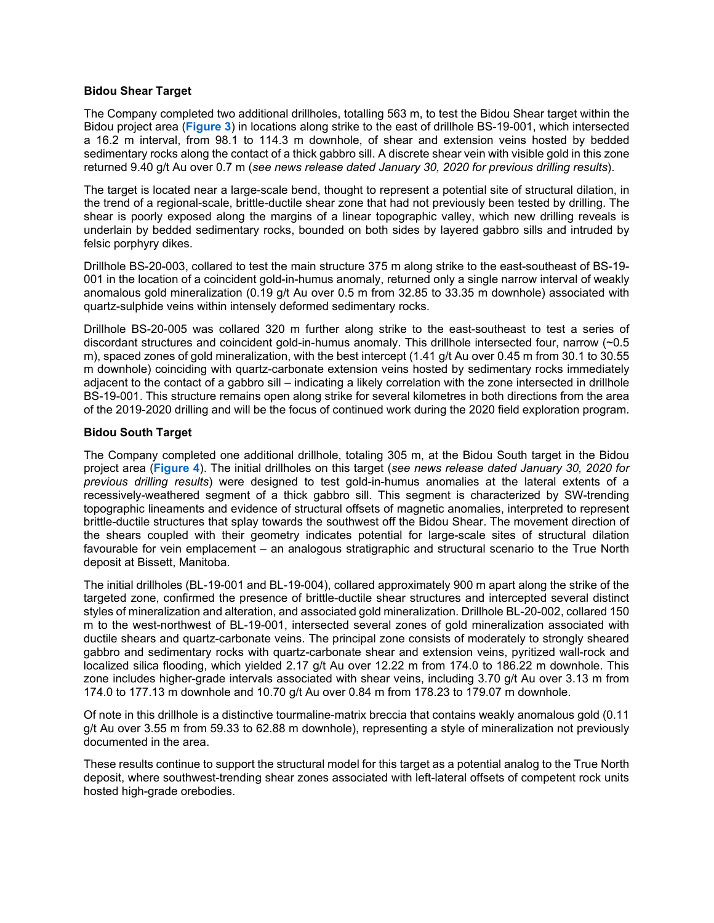#### **Bidou Shear Target**

The Company completed two additional drillholes, totalling 563 m, to test the Bidou Shear target within the Bidou project area (**[Figure 3](https://www.1911gold.com/files/doc_downloads/2020/AUMB_PR_Apr-2020_Figure-3.pdf)**) in locations along strike to the east of drillhole BS-19-001, which intersected a 16.2 m interval, from 98.1 to 114.3 m downhole, of shear and extension veins hosted by bedded sedimentary rocks along the contact of a thick gabbro sill. A discrete shear vein with visible gold in this zone returned 9.40 g/t Au over 0.7 m (*see news release dated January 30, 2020 for previous drilling results*).

The target is located near a large-scale bend, thought to represent a potential site of structural dilation, in the trend of a regional-scale, brittle-ductile shear zone that had not previously been tested by drilling. The shear is poorly exposed along the margins of a linear topographic valley, which new drilling reveals is underlain by bedded sedimentary rocks, bounded on both sides by layered gabbro sills and intruded by felsic porphyry dikes.

Drillhole BS-20-003, collared to test the main structure 375 m along strike to the east-southeast of BS-19- 001 in the location of a coincident gold-in-humus anomaly, returned only a single narrow interval of weakly anomalous gold mineralization (0.19 g/t Au over 0.5 m from 32.85 to 33.35 m downhole) associated with quartz-sulphide veins within intensely deformed sedimentary rocks.

Drillhole BS-20-005 was collared 320 m further along strike to the east-southeast to test a series of discordant structures and coincident gold-in-humus anomaly. This drillhole intersected four, narrow (~0.5 m), spaced zones of gold mineralization, with the best intercept (1.41 g/t Au over 0.45 m from 30.1 to 30.55 m downhole) coinciding with quartz-carbonate extension veins hosted by sedimentary rocks immediately adjacent to the contact of a gabbro sill – indicating a likely correlation with the zone intersected in drillhole BS-19-001. This structure remains open along strike for several kilometres in both directions from the area of the 2019-2020 drilling and will be the focus of continued work during the 2020 field exploration program.

## **Bidou South Target**

The Company completed one additional drillhole, totaling 305 m, at the Bidou South target in the Bidou project area (**[Figure 4](https://www.1911gold.com/files/doc_downloads/2020/AUMB_PR_Apr-2020_Figure-4.pdf)**). The initial drillholes on this target (*see news release dated January 30, 2020 for previous drilling results*) were designed to test gold-in-humus anomalies at the lateral extents of a recessively-weathered segment of a thick gabbro sill. This segment is characterized by SW-trending topographic lineaments and evidence of structural offsets of magnetic anomalies, interpreted to represent brittle-ductile structures that splay towards the southwest off the Bidou Shear. The movement direction of the shears coupled with their geometry indicates potential for large-scale sites of structural dilation favourable for vein emplacement – an analogous stratigraphic and structural scenario to the True North deposit at Bissett, Manitoba.

The initial drillholes (BL-19-001 and BL-19-004), collared approximately 900 m apart along the strike of the targeted zone, confirmed the presence of brittle-ductile shear structures and intercepted several distinct styles of mineralization and alteration, and associated gold mineralization. Drillhole BL-20-002, collared 150 m to the west-northwest of BL-19-001, intersected several zones of gold mineralization associated with ductile shears and quartz-carbonate veins. The principal zone consists of moderately to strongly sheared gabbro and sedimentary rocks with quartz-carbonate shear and extension veins, pyritized wall-rock and localized silica flooding, which yielded 2.17 g/t Au over 12.22 m from 174.0 to 186.22 m downhole. This zone includes higher-grade intervals associated with shear veins, including 3.70 g/t Au over 3.13 m from 174.0 to 177.13 m downhole and 10.70 g/t Au over 0.84 m from 178.23 to 179.07 m downhole.

Of note in this drillhole is a distinctive tourmaline-matrix breccia that contains weakly anomalous gold (0.11 g/t Au over 3.55 m from 59.33 to 62.88 m downhole), representing a style of mineralization not previously documented in the area.

These results continue to support the structural model for this target as a potential analog to the True North deposit, where southwest-trending shear zones associated with left-lateral offsets of competent rock units hosted high-grade orebodies.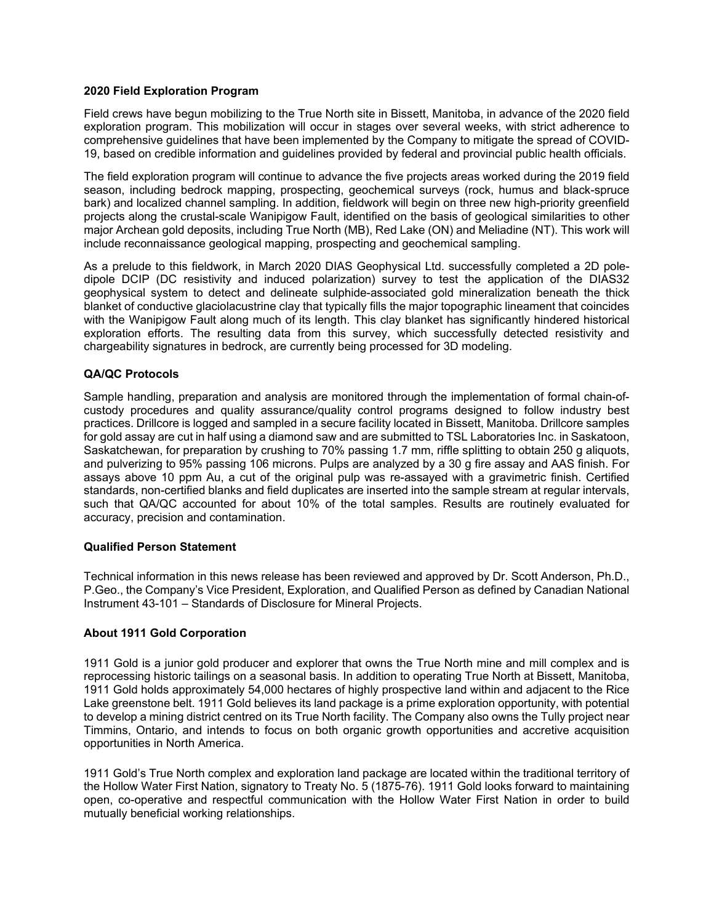## **2020 Field Exploration Program**

Field crews have begun mobilizing to the True North site in Bissett, Manitoba, in advance of the 2020 field exploration program. This mobilization will occur in stages over several weeks, with strict adherence to comprehensive guidelines that have been implemented by the Company to mitigate the spread of COVID-19, based on credible information and guidelines provided by federal and provincial public health officials.

The field exploration program will continue to advance the five projects areas worked during the 2019 field season, including bedrock mapping, prospecting, geochemical surveys (rock, humus and black-spruce bark) and localized channel sampling. In addition, fieldwork will begin on three new high-priority greenfield projects along the crustal-scale Wanipigow Fault, identified on the basis of geological similarities to other major Archean gold deposits, including True North (MB), Red Lake (ON) and Meliadine (NT). This work will include reconnaissance geological mapping, prospecting and geochemical sampling.

As a prelude to this fieldwork, in March 2020 DIAS Geophysical Ltd. successfully completed a 2D poledipole DCIP (DC resistivity and induced polarization) survey to test the application of the DIAS32 geophysical system to detect and delineate sulphide-associated gold mineralization beneath the thick blanket of conductive glaciolacustrine clay that typically fills the major topographic lineament that coincides with the Wanipigow Fault along much of its length. This clay blanket has significantly hindered historical exploration efforts. The resulting data from this survey, which successfully detected resistivity and chargeability signatures in bedrock, are currently being processed for 3D modeling.

## **QA/QC Protocols**

Sample handling, preparation and analysis are monitored through the implementation of formal chain-ofcustody procedures and quality assurance/quality control programs designed to follow industry best practices. Drillcore is logged and sampled in a secure facility located in Bissett, Manitoba. Drillcore samples for gold assay are cut in half using a diamond saw and are submitted to TSL Laboratories Inc. in Saskatoon, Saskatchewan, for preparation by crushing to 70% passing 1.7 mm, riffle splitting to obtain 250 g aliquots, and pulverizing to 95% passing 106 microns. Pulps are analyzed by a 30 g fire assay and AAS finish. For assays above 10 ppm Au, a cut of the original pulp was re-assayed with a gravimetric finish. Certified standards, non-certified blanks and field duplicates are inserted into the sample stream at regular intervals, such that QA/QC accounted for about 10% of the total samples. Results are routinely evaluated for accuracy, precision and contamination.

## **Qualified Person Statement**

Technical information in this news release has been reviewed and approved by Dr. Scott Anderson, Ph.D., P.Geo., the Company's Vice President, Exploration, and Qualified Person as defined by Canadian National Instrument 43-101 – Standards of Disclosure for Mineral Projects.

## **About 1911 Gold Corporation**

1911 Gold is a junior gold producer and explorer that owns the True North mine and mill complex and is reprocessing historic tailings on a seasonal basis. In addition to operating True North at Bissett, Manitoba, 1911 Gold holds approximately 54,000 hectares of highly prospective land within and adjacent to the Rice Lake greenstone belt. 1911 Gold believes its land package is a prime exploration opportunity, with potential to develop a mining district centred on its True North facility. The Company also owns the Tully project near Timmins, Ontario, and intends to focus on both organic growth opportunities and accretive acquisition opportunities in North America.

1911 Gold's True North complex and exploration land package are located within the traditional territory of the Hollow Water First Nation, signatory to Treaty No. 5 (1875-76). 1911 Gold looks forward to maintaining open, co-operative and respectful communication with the Hollow Water First Nation in order to build mutually beneficial working relationships.